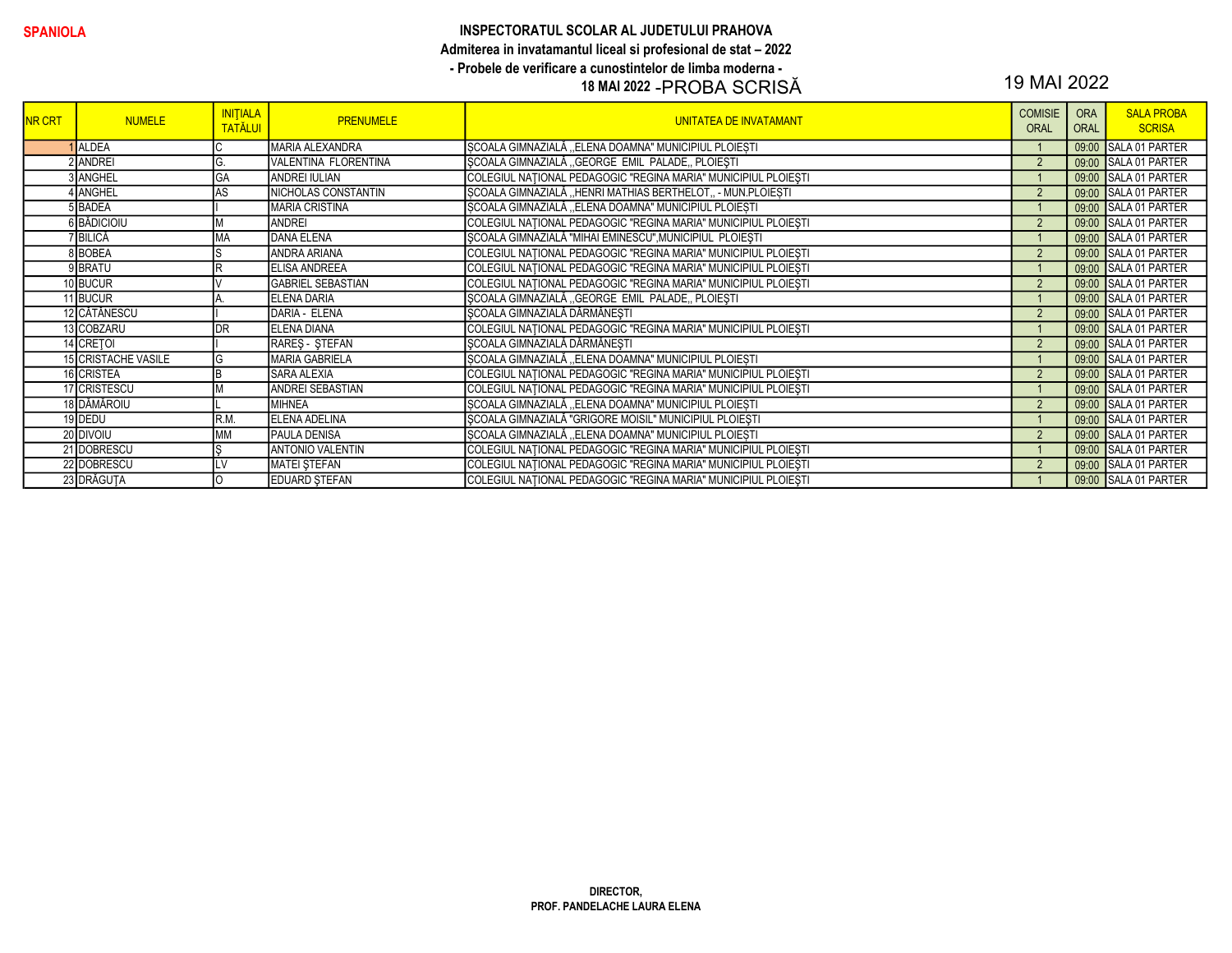### SPANIOLA INSPECTORATUL SCOLAR AL JUDETULUI PRAHOVA Admiterea in invatamantul liceal si profesional de stat – 2022 - Probele de verificare a cunostintelor de limba moderna - 18 MAI 2022 -PROBA SCRISĂ 19 MAI 2022

| <b>NR CRT</b> | <b>NUMELE</b>              | <b>INITIALA</b><br><b>TATĂLUI</b> | <b>PRENUMELE</b>         | <b>UNITATEA DE INVATAMANT</b>                                  | <b>COMISIE</b><br><b>ORAL</b> | <b>ORA</b><br><b>ORAL</b> | <b>SALA PROBA</b><br><b>SCRISA</b> |
|---------------|----------------------------|-----------------------------------|--------------------------|----------------------------------------------------------------|-------------------------------|---------------------------|------------------------------------|
|               | <b>ALDEA</b>               |                                   | MARIA ALEXANDRA          | SCOALA GIMNAZIALĂ "ELENA DOAMNA" MUNICIPIUL PLOIEȘTI           |                               |                           | 09:00 SALA 01 PARTER               |
|               | 2 ANDREI                   | G.                                | VALENTINA FLORENTINA     | SCOALA GIMNAZIALĂ "GEORGE EMIL PALADE, PLOIESTI                | $\overline{2}$                |                           | 09:00 SALA 01 PARTER               |
|               | 3 ANGHEL                   | <b>GA</b>                         | <b>ANDREI IULIAN</b>     | COLEGIUL NAȚIONAL PEDAGOGIC "REGINA MARIA" MUNICIPIUL PLOIEȘTI |                               |                           | 09:00 SALA 01 PARTER               |
|               | 4 LANGHEL                  | AS                                | NICHOLAS CONSTANTIN      | SCOALA GIMNAZIALĂ "HENRI MATHIAS BERTHELOT" - MUN.PLOIEȘTI     | $\overline{2}$                |                           | 09:00 SALA 01 PARTER               |
|               | 5BADEA                     |                                   | <b>MARIA CRISTINA</b>    | ȘCOALA GIMNAZIALĂ "ELENA DOAMNA" MUNICIPIUL PLOIEȘTI           |                               |                           | 09:00 SALA 01 PARTER               |
|               | 6 BĂDICIOIU                |                                   | ANDREI                   | COLEGIUL NATIONAL PEDAGOGIC "REGINA MARIA" MUNICIPIUL PLOIESTI | $\overline{2}$                |                           | 09:00 SALA 01 PARTER               |
|               | 7 BILICĂ                   | <b>MA</b>                         | <b>DANA ELENA</b>        | ȘCOALA GIMNAZIALĂ "MIHAI EMINESCU", MUNICIPIUL PLOIEȘTI        |                               |                           | 09:00 SALA 01 PARTER               |
|               | 8BOBEA                     | IS                                | ANDRA ARIANA             | COLEGIUL NAȚIONAL PEDAGOGIC "REGINA MARIA" MUNICIPIUL PLOIEȘTI | $\overline{2}$                |                           | 09:00 SALA 01 PARTER               |
|               | 9BRATU                     | R                                 | <b>ELISA ANDREEA</b>     | COLEGIUL NATIONAL PEDAGOGIC "REGINA MARIA" MUNICIPIUL PLOIESTI |                               |                           | 09:00 SALA 01 PARTER               |
|               | 10 BUCUR                   |                                   | <b>GABRIEL SEBASTIAN</b> | COLEGIUL NATIONAL PEDAGOGIC "REGINA MARIA" MUNICIPIUL PLOIEȘTI | $\mathcal{P}$                 |                           | 09:00 SALA 01 PARTER               |
|               | 11 BUCUR                   |                                   | <b>ELENA DARIA</b>       | SCOALA GIMNAZIALĂ "GEORGE EMIL PALADE, PLOIESTI                |                               |                           | 09:00 SALA 01 PARTER               |
|               | 12 CĂTĂNESCU               |                                   | DARIA - ELENA            | SCOALA GIMNAZIALĂ DĂRMĂNESTI                                   | $\overline{2}$                |                           | 09:00 SALA 01 PARTER               |
|               | 13 COBZARU                 | <b>IDR</b>                        | <b>ELENA DIANA</b>       | COLEGIUL NATIONAL PEDAGOGIC "REGINA MARIA" MUNICIPIUL PLOIEȘTI |                               |                           | 09:00 SALA 01 PARTER               |
|               | 14 CRETOI                  |                                   | RARES - STEFAN           | SCOALA GIMNAZIALĂ DĂRMĂNESTI                                   | $\overline{2}$                |                           | 09:00 SALA 01 PARTER               |
|               | <b>15 CRISTACHE VASILE</b> | IG                                | MARIA GABRIELA           | SCOALA GIMNAZIALĂ "ELENA DOAMNA" MUNICIPIUL PLOIEȘTI           |                               |                           | 09:00 SALA 01 PARTER               |
|               | 16 CRISTEA                 | Iв                                | <b>SARA ALEXIA</b>       | COLEGIUL NAȚIONAL PEDAGOGIC "REGINA MARIA" MUNICIPIUL PLOIEȘTI | $\overline{2}$                |                           | 09:00 SALA 01 PARTER               |
|               | 17 CRISTESCU               |                                   | ANDREI SEBASTIAN         | COLEGIUL NAȚIONAL PEDAGOGIC "REGINA MARIA" MUNICIPIUL PLOIEȘTI |                               |                           | 09:00 SALA 01 PARTER               |
|               | 18 DĂMĂROIU                |                                   | <b>MIHNEA</b>            | SCOALA GIMNAZIALĂ "ELENA DOAMNA" MUNICIPIUL PLOIESTI           | $\overline{2}$                |                           | 09:00 SALA 01 PARTER               |
|               | 19 DEDU                    | R.M                               | <b>ELENA ADELINA</b>     | ȘCOALA GIMNAZIALĂ "GRIGORE MOISIL" MUNICIPIUL PLOIEȘTI         |                               |                           | 09:00 SALA 01 PARTER               |
|               | 20 DIVOIU                  | <b>IMM</b>                        | <b>PAULA DENISA</b>      | SCOALA GIMNAZIALĂ "ELENA DOAMNA" MUNICIPIUL PLOIESTI           | $\overline{2}$                |                           | 09:00 SALA 01 PARTER               |
|               | 21 DOBRESCU                | Is                                | <b>ANTONIO VALENTIN</b>  | COLEGIUL NAȚIONAL PEDAGOGIC "REGINA MARIA" MUNICIPIUL PLOIEȘTI |                               |                           | 09:00 SALA 01 PARTER               |
|               | 22 DOBRESCU                | LV                                | <b>MATEI STEFAN</b>      | COLEGIUL NATIONAL PEDAGOGIC "REGINA MARIA" MUNICIPIUL PLOIESTI | $\overline{2}$                |                           | 09:00 SALA 01 PARTER               |
|               | 23 DRĂGUȚA                 | lo                                | <b>EDUARD STEFAN</b>     | COLEGIUL NATIONAL PEDAGOGIC "REGINA MARIA" MUNICIPIUL PLOIESTI |                               |                           | 09:00 SALA 01 PARTER               |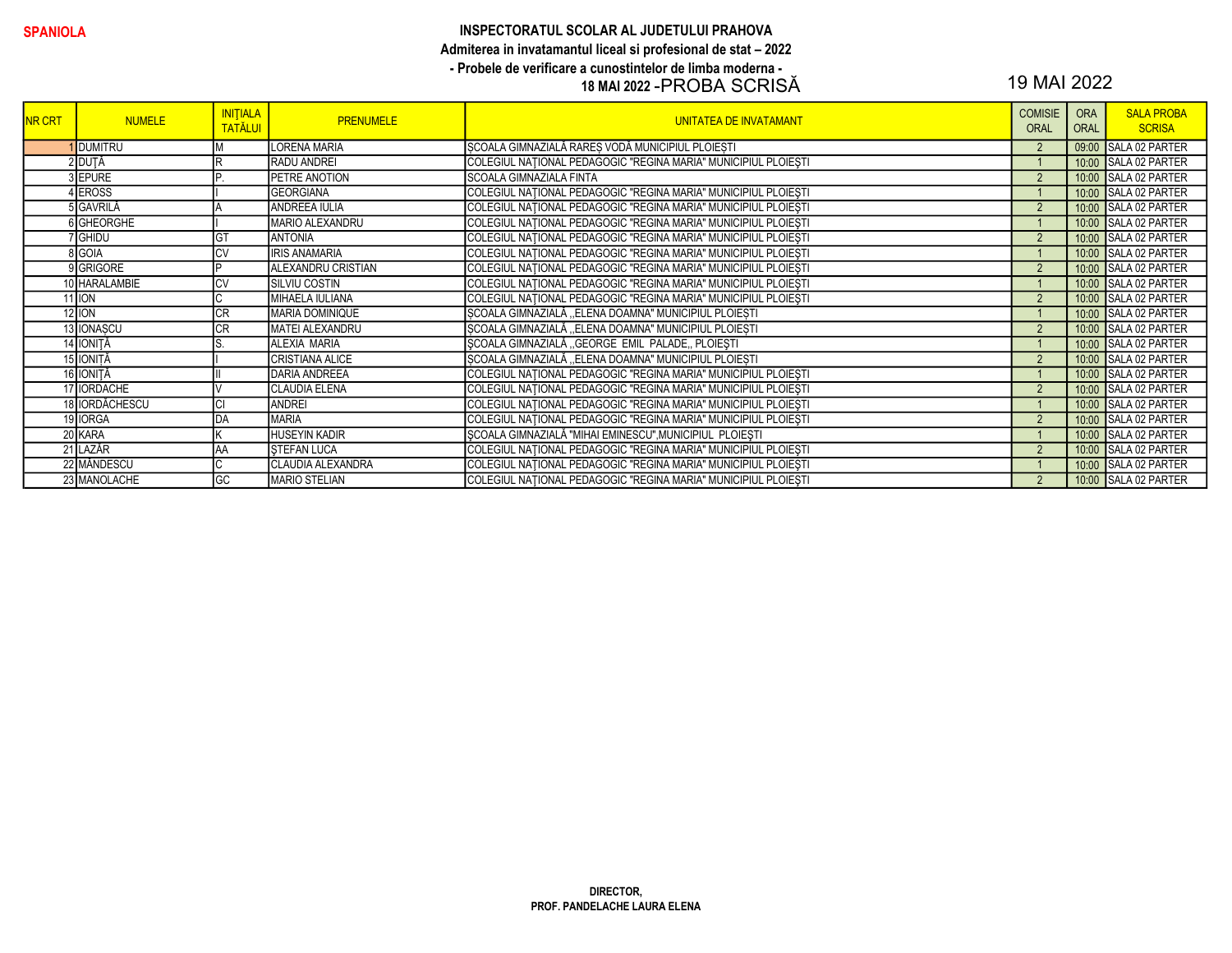### SPANIOLA INSPECTORATUL SCOLAR AL JUDETULUI PRAHOVA Admiterea in invatamantul liceal si profesional de stat – 2022 - Probele de verificare a cunostintelor de limba moderna - 18 MAI 2022 -PROBA SCRISĂ 19 MAI 2022

| <b>NR CRT</b> | <b>NUMELE</b>      | <b>INITIALA</b><br><b>TATĂLUI</b> | <b>PRENUMELE</b>          | <b>UNITATEA DE INVATAMANT</b>                                  | <b>COMISIE</b><br><b>ORAL</b> | <b>ORA</b><br><b>ORAL</b> | <b>SALA PROBA</b><br><b>SCRISA</b> |
|---------------|--------------------|-----------------------------------|---------------------------|----------------------------------------------------------------|-------------------------------|---------------------------|------------------------------------|
|               | <b>DUMITRU</b>     |                                   | LORENA MARIA              | SCOALA GIMNAZIALĂ RARES VODĂ MUNICIPIUL PLOIESTI               | $\overline{2}$                |                           | 09:00 SALA 02 PARTER               |
|               | 2 DUȚĂ             | lR                                | <b>RADU ANDREI</b>        | COLEGIUL NAȚIONAL PEDAGOGIC "REGINA MARIA" MUNICIPIUL PLOIEȘTI |                               |                           | 10:00 SALA 02 PARTER               |
|               | 3 EPURE            | IP                                | <b>PETRE ANOTION</b>      | <b>SCOALA GIMNAZIALA FINTA</b>                                 | $\overline{2}$                |                           | 10:00 SALA 02 PARTER               |
|               | 4 EROSS            |                                   | <b>GEORGIANA</b>          | COLEGIUL NAȚIONAL PEDAGOGIC "REGINA MARIA" MUNICIPIUL PLOIEȘTI |                               |                           | 10:00 SALA 02 PARTER               |
|               | 5 GAVRILĂ          |                                   | <b>ANDREEA IULIA</b>      | COLEGIUL NAȚIONAL PEDAGOGIC "REGINA MARIA" MUNICIPIUL PLOIEȘTI | $\overline{2}$                |                           | 10:00 SALA 02 PARTER               |
|               | 6 GHEORGHE         |                                   | MARIO ALEXANDRU           | COLEGIUL NAȚIONAL PEDAGOGIC "REGINA MARIA" MUNICIPIUL PLOIEȘTI |                               |                           | 10:00 SALA 02 PARTER               |
|               | <sup>7</sup> GHIDU | <b>I</b> GT                       | <b>ANTONIA</b>            | COLEGIUL NAȚIONAL PEDAGOGIC "REGINA MARIA" MUNICIPIUL PLOIEȘTI | $\overline{2}$                |                           | 10:00 SALA 02 PARTER               |
|               | 8 GOIA             | <b>CV</b>                         | <b>IRIS ANAMARIA</b>      | COLEGIUL NATIONAL PEDAGOGIC "REGINA MARIA" MUNICIPIUL PLOIESTI |                               |                           | 10:00 SALA 02 PARTER               |
|               | 9 GRIGORE          | IÞ                                | <b>ALEXANDRU CRISTIAN</b> | COLEGIUL NATIONAL PEDAGOGIC "REGINA MARIA" MUNICIPIUL PLOIESTI | $\overline{2}$                |                           | 10:00 SALA 02 PARTER               |
|               | 10 HARALAMBIE      | <b>CV</b>                         | <b>SILVIU COSTIN</b>      | COLEGIUL NATIONAL PEDAGOGIC "REGINA MARIA" MUNICIPIUL PLOIEȘTI |                               |                           | 10:00 SALA 02 PARTER               |
|               | $11$ ION           | IС                                | MIHAELA IULIANA           | COLEGIUL NAȚIONAL PEDAGOGIC "REGINA MARIA" MUNICIPIUL PLOIEȘTI | $\overline{2}$                |                           | 10:00 SALA 02 PARTER               |
|               | $12$ ION           | <b>CR</b>                         | <b>MARIA DOMINIQUE</b>    | SCOALA GIMNAZIALĂ "ELENA DOAMNA" MUNICIPIUL PLOIEȘTI           |                               |                           | 10:00 SALA 02 PARTER               |
|               | 13 IONASCU         | <b>CR</b>                         | <b>MATEI ALEXANDRU</b>    | SCOALA GIMNAZIALĂ "ELENA DOAMNA" MUNICIPIUL PLOIEȘTI           | $\overline{2}$                |                           | 10:00 SALA 02 PARTER               |
|               | 14 IONIȚĂ          |                                   | <b>ALEXIA MARIA</b>       | ȘCOALA GIMNAZIALĂ "GEORGE EMIL PALADE" PLOIEȘTI                |                               |                           | 10:00 SALA 02 PARTER               |
|               | 15 IONIȚĂ          |                                   | CRISTIANA ALICE           | SCOALA GIMNAZIALĂ "ELENA DOAMNA" MUNICIPIUL PLOIESTI           | $\overline{2}$                |                           | 10:00 SALA 02 PARTER               |
|               | 16 IONIȚĂ          |                                   | <b>DARIA ANDREEA</b>      | COLEGIUL NATIONAL PEDAGOGIC "REGINA MARIA" MUNICIPIUL PLOIESTI |                               |                           | 10:00 SALA 02 PARTER               |
|               | 17 <b>IORDACHE</b> |                                   | <b>CLAUDIA ELENA</b>      | COLEGIUL NATIONAL PEDAGOGIC "REGINA MARIA" MUNICIPIUL PLOIESTI | $\overline{2}$                |                           | 10:00 SALA 02 PARTER               |
|               | 18 IORDĂCHESCU     | ICI                               | <b>ANDREI</b>             | COLEGIUL NAȚIONAL PEDAGOGIC "REGINA MARIA" MUNICIPIUL PLOIEȘTI |                               |                           | 10:00 SALA 02 PARTER               |
|               | 19 IORGA           | DA                                | <b>MARIA</b>              | COLEGIUL NATIONAL PEDAGOGIC "REGINA MARIA" MUNICIPIUL PLOIEȘTI |                               |                           | 10:00 SALA 02 PARTER               |
|               | 20 KARA            |                                   | <b>HUSEYIN KADIR</b>      | SCOALA GIMNAZIALĂ "MIHAI EMINESCU", MUNICIPIUL PLOIESTI        |                               |                           | 10:00 SALA 02 PARTER               |
|               | 21 LAZĂR           | AA                                | <b>STEFAN LUCA</b>        | COLEGIUL NAȚIONAL PEDAGOGIC "REGINA MARIA" MUNICIPIUL PLOIEȘTI |                               |                           | 10:00 SALA 02 PARTER               |
|               | 22 MÄNDESCU        | IC.                               | CLAUDIA ALEXANDRA         | COLEGIUL NATIONAL PEDAGOGIC "REGINA MARIA" MUNICIPIUL PLOIESTI |                               |                           | 10:00 SALA 02 PARTER               |
|               | 23 MANOLACHE       | <b>GC</b>                         | MARIO STELIAN             | COLEGIUL NATIONAL PEDAGOGIC "REGINA MARIA" MUNICIPIUL PLOIESTI | $\overline{2}$                |                           | 10:00 SALA 02 PARTER               |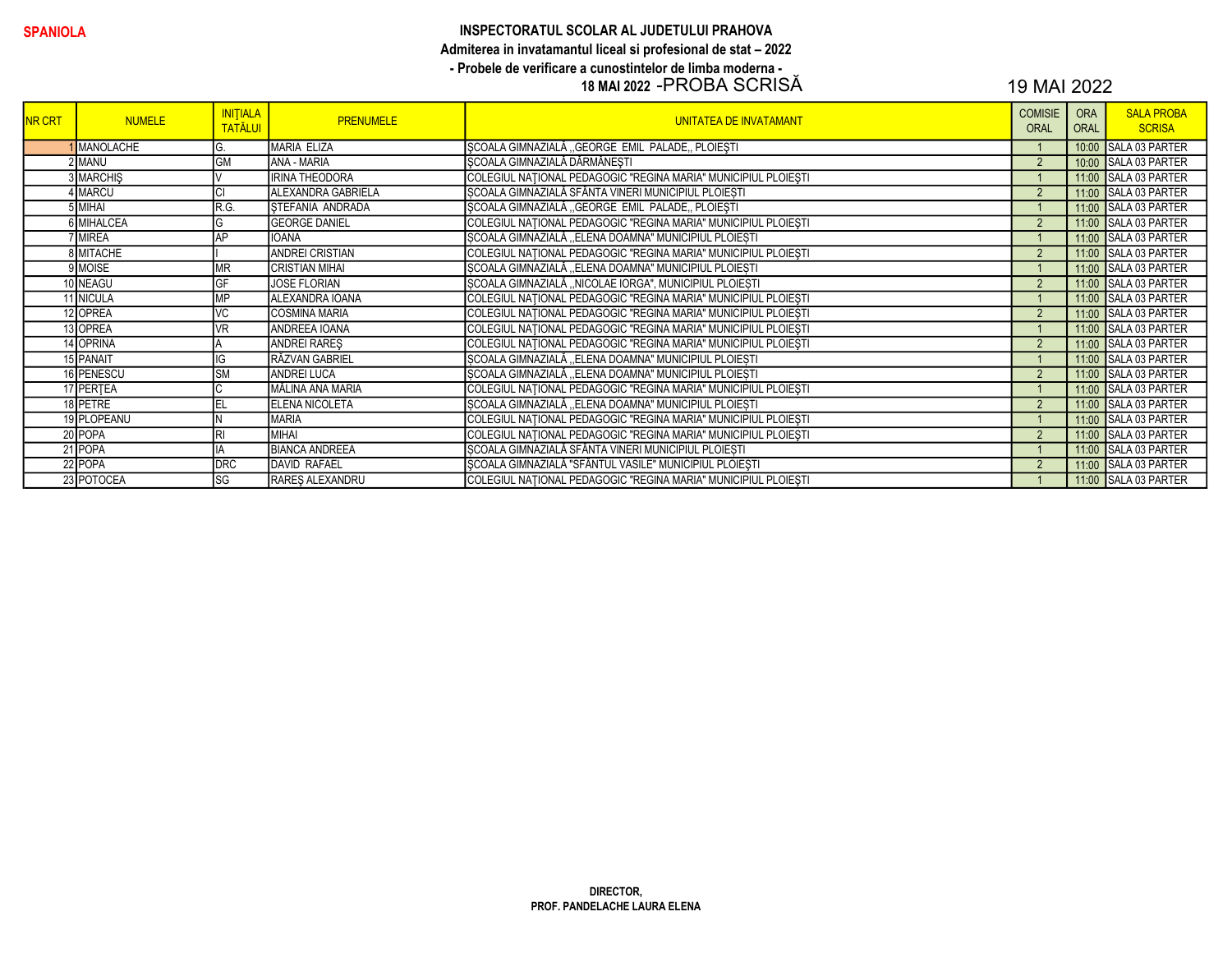# INSPECTORATUL SCOLAR AL JUDETULUI PRAHOVA Admiterea in invatamantul liceal si profesional de stat - 2022 - Probele de verificare a cunostintelor de limba moderna -<br>18 MAI 2022 -PROBA SCRISĂ

## 19 MAI 2022

| <b>NR CRT</b> | <b>NUMELE</b>    | <b>INITIALA</b><br><b>TATĂLUI</b> | <b>PRENUMELE</b>       | <b>UNITATEA DE INVATAMANT</b>                                  | <b>COMISIE</b><br><b>ORAL</b> | <b>ORA</b><br><b>ORAL</b> | <b>SALA PROBA</b><br><b>SCRISA</b> |
|---------------|------------------|-----------------------------------|------------------------|----------------------------------------------------------------|-------------------------------|---------------------------|------------------------------------|
|               | <b>MANOLACHE</b> |                                   | MARIA ELIZA            | SCOALA GIMNAZIALĂ "GEORGE EMIL PALADE, PLOIESTI                |                               |                           | 10:00 SALA 03 PARTER               |
|               | 2 MANU           | <b>GM</b>                         | ANA - MARIA            | SCOALA GIMNAZIALĂ DĂRMĂNESTI                                   | $\overline{2}$                |                           | 10:00 SALA 03 PARTER               |
|               | <b>3 MARCHIS</b> |                                   | <b>IRINA THEODORA</b>  | COLEGIUL NAȚIONAL PEDAGOGIC "REGINA MARIA" MUNICIPIUL PLOIEȘTI |                               |                           | 11:00 SALA 03 PARTER               |
|               | IMARCU           |                                   | ALEXANDRA GABRIELA     | SCOALA GIMNAZIALĂ SFÂNTA VINERI MUNICIPIUL PLOIEȘTI            | $\overline{2}$                |                           | 11:00 SALA 03 PARTER               |
|               | 5 MIHAI          | R.G.                              | STEFANIA ANDRADA       | SCOALA GIMNAZIALĂ "GEORGE EMIL PALADE, PLOIESTI                |                               |                           | 11:00 SALA 03 PARTER               |
|               | 6 MIHALCEA       |                                   | <b>GEORGE DANIEL</b>   | COLEGIUL NAȚIONAL PEDAGOGIC "REGINA MARIA" MUNICIPIUL PLOIEȘTI | $\overline{2}$                |                           | 11:00 SALA 03 PARTER               |
|               | <b>IMIREA</b>    | AP                                | <b>IOANA</b>           | SCOALA GIMNAZIALĂ "ELENA DOAMNA" MUNICIPIUL PLOIESTI           |                               |                           | 11:00 SALA 03 PARTER               |
|               | 8 MITACHE        |                                   | <b>ANDREI CRISTIAN</b> | COLEGIUL NAȚIONAL PEDAGOGIC "REGINA MARIA" MUNICIPIUL PLOIEȘTI | $\overline{2}$                |                           | 11:00 SALA 03 PARTER               |
|               | 9 MOISE          | MR                                | <b>CRISTIAN MIHAL</b>  | SCOALA GIMNAZIALĂ "ELENA DOAMNA" MUNICIPIUL PLOIESTI           |                               |                           | 11:00 SALA 03 PARTER               |
|               | 10 NEAGU         | GF                                | <b>JOSE FLORIAN</b>    | SCOALA GIMNAZIALĂ "NICOLAE IORGA", MUNICIPIUL PLOIESTI         | $\overline{2}$                |                           | 11:00 SALA 03 PARTER               |
|               | 11 NICULA        | MP                                | ALEXANDRA IOANA        | COLEGIUL NATIONAL PEDAGOGIC "REGINA MARIA" MUNICIPIUL PLOIESTI |                               |                           | 11:00 SALA 03 PARTER               |
|               | 12 OPREA         | VC                                | <b>COSMINA MARIA</b>   | COLEGIUL NAȚIONAL PEDAGOGIC "REGINA MARIA" MUNICIPIUL PLOIEȘTI | $\overline{2}$                |                           | 11:00 SALA 03 PARTER               |
|               | 13 OPREA         | VR                                | ANDREEA IOANA          | COLEGIUL NAȚIONAL PEDAGOGIC "REGINA MARIA" MUNICIPIUL PLOIEȘTI |                               |                           | 11:00 SALA 03 PARTER               |
|               | 14 OPRINA        |                                   | <b>ANDREI RARES</b>    | COLEGIUL NAȚIONAL PEDAGOGIC "REGINA MARIA" MUNICIPIUL PLOIEȘTI | $\overline{2}$                |                           | 11:00 SALA 03 PARTER               |
|               | 15 PANAIT        | G                                 | RĂZVAN GABRIEL         | ȘCOALA GIMNAZIALĂ "ELENA DOAMNA" MUNICIPIUL PLOIEȘTI           |                               |                           | 11:00 SALA 03 PARTER               |
|               | 16 PENESCU       | <b>ISM</b>                        | <b>ANDREI LUCA</b>     | SCOALA GIMNAZIALĂ "ELENA DOAMNA" MUNICIPIUL PLOIESTI           | $\overline{2}$                |                           | 11:00 SALA 03 PARTER               |
|               | 17 PERTEA        |                                   | MĂLINA ANA MARIA       | COLEGIUL NAȚIONAL PEDAGOGIC "REGINA MARIA" MUNICIPIUL PLOIEȘTI |                               |                           | 11:00 SALA 03 PARTER               |
|               | 18 PETRE         | EL                                | <b>ELENA NICOLETA</b>  | ȘCOALA GIMNAZIALĂ "ELENA DOAMNA" MUNICIPIUL PLOIEȘTI           | $\overline{2}$                |                           | 11:00 SALA 03 PARTER               |
|               | 19 PLOPEANU      |                                   | <b>MARIA</b>           | COLEGIUL NAȚIONAL PEDAGOGIC "REGINA MARIA" MUNICIPIUL PLOIEȘTI |                               |                           | 11:00 SALA 03 PARTER               |
|               | 20 POPA          |                                   | <b>MIHAI</b>           | COLEGIUL NAȚIONAL PEDAGOGIC "REGINA MARIA" MUNICIPIUL PLOIEȘTI | $\overline{2}$                |                           | 11:00 SALA 03 PARTER               |
|               | 21 POPA          |                                   | <b>BIANCA ANDREEA</b>  | ȘCOALA GIMNAZIALĂ SFÂNTA VINERI MUNICIPIUL PLOIEȘTI            |                               |                           | 11:00 SALA 03 PARTER               |
|               | 22 POPA          | <b>DRC</b>                        | <b>DAVID RAFAEL</b>    | ŞCOALA GIMNAZIALĂ "SFÂNTUL VASILE" MUNICIPIUL PLOIEȘTI         | $\overline{2}$                |                           | 11:00 SALA 03 PARTER               |
|               | 23 POTOCEA       | lsg                               | <b>RARES ALEXANDRU</b> | COLEGIUL NAȚIONAL PEDAGOGIC "REGINA MARIA" MUNICIPIUL PLOIEȘTI |                               |                           | 11:00 SALA 03 PARTER               |